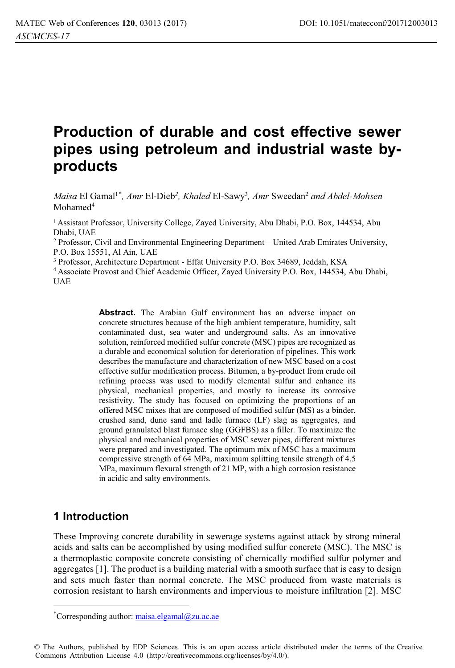# **Production of durable and cost effective sewer pipes using petroleum and industrial waste byproducts**

Maisa El Gamal<sup>1\*</sup>, Amr El-Dieb<sup>2</sup>, Khaled El-Sawy<sup>3</sup>, Amr Sweedan<sup>2</sup> and Abdel-Mohsen Mohame $d^4$ 

<sup>1</sup> Assistant Professor, University College, Zayed University, Abu Dhabi, P.O. Box, 144534, Abu Dhabi, UAE

 $2$  Professor, Civil and Environmental Engineering Department – United Arab Emirates University, P.O. Box 15551, Al Ain, UAE

3 Professor, Architecture Department - Effat University P.O. Box 34689, Jeddah, KSA

4 Associate Provost and Chief Academic Officer, Zayed University P.O. Box, 144534, Abu Dhabi, UAE

> **Abstract.** The Arabian Gulf environment has an adverse impact on concrete structures because of the high ambient temperature, humidity, salt contaminated dust, sea water and underground salts. As an innovative solution, reinforced modified sulfur concrete (MSC) pipes are recognized as a durable and economical solution for deterioration of pipelines. This work describes the manufacture and characterization of new MSC based on a cost effective sulfur modification process. Bitumen, a by-product from crude oil refining process was used to modify elemental sulfur and enhance its physical, mechanical properties, and mostly to increase its corrosive resistivity. The study has focused on optimizing the proportions of an offered MSC mixes that are composed of modified sulfur (MS) as a binder, crushed sand, dune sand and ladle furnace (LF) slag as aggregates, and ground granulated blast furnace slag (GGFBS) as a filler. To maximize the physical and mechanical properties of MSC sewer pipes, different mixtures were prepared and investigated. The optimum mix of MSC has a maximum compressive strength of 64 MPa, maximum splitting tensile strength of 4.5 MPa, maximum flexural strength of 21 MP, with a high corrosion resistance in acidic and salty environments.

# **1 Introduction**

These Improving concrete durability in sewerage systems against attack by strong mineral acids and salts can be accomplished by using modified sulfur concrete (MSC). The MSC is a thermoplastic composite concrete consisting of chemically modified sulfur polymer and aggregates [1]. The product is a building material with a smooth surface that is easy to design and sets much faster than normal concrete. The MSC produced from waste materials is corrosion resistant to harsh environments and impervious to moisture infiltration [2]. MSC

<sup>\*</sup>Corresponding author: maisa.elgamal@zu.ac.ae

<sup>©</sup> The Authors, published by EDP Sciences. This is an open access article distributed under the terms of the Creative Commons Attribution License 4.0 (http://creativecommons.org/licenses/by/4.0/).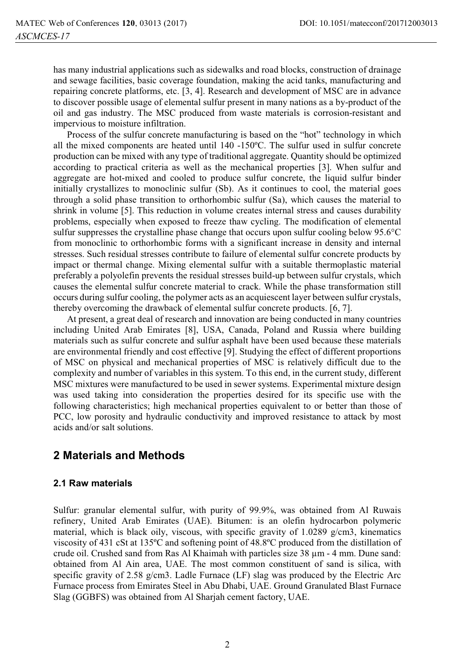has many industrial applications such as sidewalks and road blocks, construction of drainage and sewage facilities, basic coverage foundation, making the acid tanks, manufacturing and repairing concrete platforms, etc. [3, 4]. Research and development of MSC are in advance to discover possible usage of elemental sulfur present in many nations as a by-product of the oil and gas industry. The MSC produced from waste materials is corrosion-resistant and impervious to moisture infiltration.

Process of the sulfur concrete manufacturing is based on the "hot" technology in which all the mixed components are heated until 140 -150ºC. The sulfur used in sulfur concrete production can be mixed with any type of traditional aggregate. Quantity should be optimized according to practical criteria as well as the mechanical properties [3]. When sulfur and aggregate are hot-mixed and cooled to produce sulfur concrete, the liquid sulfur binder initially crystallizes to monoclinic sulfur (Sb). As it continues to cool, the material goes through a solid phase transition to orthorhombic sulfur (Sa), which causes the material to shrink in volume [5]. This reduction in volume creates internal stress and causes durability problems, especially when exposed to freeze thaw cycling. The modification of elemental sulfur suppresses the crystalline phase change that occurs upon sulfur cooling below 95.6°C from monoclinic to orthorhombic forms with a significant increase in density and internal stresses. Such residual stresses contribute to failure of elemental sulfur concrete products by impact or thermal change. Mixing elemental sulfur with a suitable thermoplastic material preferably a polyolefin prevents the residual stresses build-up between sulfur crystals, which causes the elemental sulfur concrete material to crack. While the phase transformation still occurs during sulfur cooling, the polymer acts as an acquiescent layer between sulfur crystals, thereby overcoming the drawback of elemental sulfur concrete products. [6, 7].

At present, a great deal of research and innovation are being conducted in many countries including United Arab Emirates [8], USA, Canada, Poland and Russia where building materials such as sulfur concrete and sulfur asphalt have been used because these materials are environmental friendly and cost effective [9]. Studying the effect of different proportions of MSC on physical and mechanical properties of MSC is relatively difficult due to the complexity and number of variables in this system. To this end, in the current study, different MSC mixtures were manufactured to be used in sewer systems. Experimental mixture design was used taking into consideration the properties desired for its specific use with the following characteristics; high mechanical properties equivalent to or better than those of PCC, low porosity and hydraulic conductivity and improved resistance to attack by most acids and/or salt solutions.

# **2 Materials and Methods**

#### **2.1 Raw materials**

Sulfur: granular elemental sulfur, with purity of 99.9%, was obtained from Al Ruwais refinery, United Arab Emirates (UAE). Bitumen: is an olefin hydrocarbon polymeric material, which is black oily, viscous, with specific gravity of 1.0289 g/cm3, kinematics viscosity of 431 cSt at 135ºC and softening point of 48.8ºC produced from the distillation of crude oil. Crushed sand from Ras Al Khaimah with particles size  $38 \mu m - 4 \text{ mm}$ . Dune sand: obtained from Al Ain area, UAE. The most common constituent of sand is silica, with specific gravity of 2.58 g/cm3. Ladle Furnace (LF) slag was produced by the Electric Arc Furnace process from Emirates Steel in Abu Dhabi, UAE. Ground Granulated Blast Furnace Slag (GGBFS) was obtained from Al Sharjah cement factory, UAE.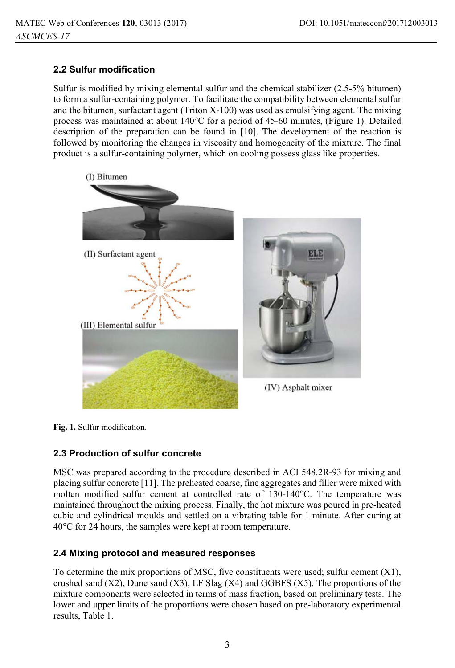## **2.2 Sulfur modification**

Sulfur is modified by mixing elemental sulfur and the chemical stabilizer (2.5-5% bitumen) to form a sulfur-containing polymer. To facilitate the compatibility between elemental sulfur and the bitumen, surfactant agent (Triton X-100) was used as emulsifying agent. The mixing process was maintained at about 140°C for a period of 45-60 minutes, (Figure 1). Detailed description of the preparation can be found in [10]. The development of the reaction is followed by monitoring the changes in viscosity and homogeneity of the mixture. The final product is a sulfur-containing polymer, which on cooling possess glass like properties.



**Fig. 1.** Sulfur modification.

### **2.3 Production of sulfur concrete**

MSC was prepared according to the procedure described in ACI 548.2R-93 for mixing and placing sulfur concrete [11]. The preheated coarse, fine aggregates and filler were mixed with molten modified sulfur cement at controlled rate of 130-140°C. The temperature was maintained throughout the mixing process. Finally, the hot mixture was poured in pre-heated cubic and cylindrical moulds and settled on a vibrating table for 1 minute. After curing at 40°C for 24 hours, the samples were kept at room temperature.

### **2.4 Mixing protocol and measured responses**

To determine the mix proportions of MSC, five constituents were used; sulfur cement (X1), crushed sand  $(X2)$ , Dune sand  $(X3)$ , LF Slag  $(X4)$  and GGBFS  $(X5)$ . The proportions of the mixture components were selected in terms of mass fraction, based on preliminary tests. The lower and upper limits of the proportions were chosen based on pre-laboratory experimental results, Table 1.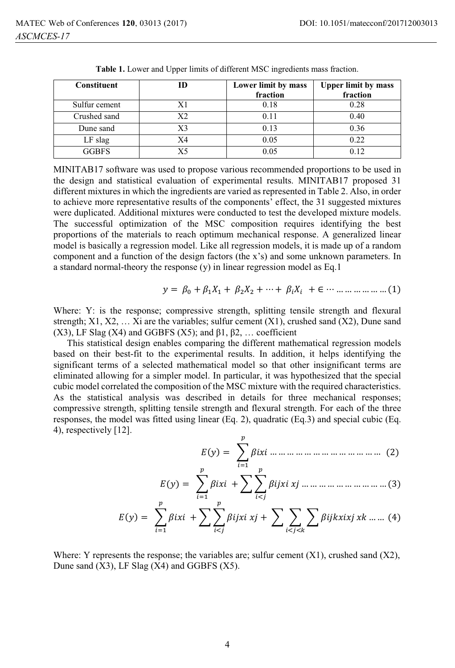| Constituent   | ID | Lower limit by mass | <b>Upper limit by mass</b> |  |
|---------------|----|---------------------|----------------------------|--|
|               |    | fraction            | fraction                   |  |
| Sulfur cement | X1 | 0.18                | 0.28                       |  |
| Crushed sand  | X2 | 0.11                | 0.40                       |  |
| Dune sand     | X3 | 0.13                | 0.36                       |  |
| $LF$ slag     | X4 | 0.05                | 0.22                       |  |
| GGBFS         | X5 | 0.05                | በ 12                       |  |

**Table 1.** Lower and Upper limits of different MSC ingredients mass fraction.

MINITAB17 software was used to propose various recommended proportions to be used in the design and statistical evaluation of experimental results. MINITAB17 proposed 31 different mixtures in which the ingredients are varied as represented in Table 2. Also, in order to achieve more representative results of the components' effect, the 31 suggested mixtures were duplicated. Additional mixtures were conducted to test the developed mixture models. The successful optimization of the MSC composition requires identifying the best proportions of the materials to reach optimum mechanical response. A generalized linear model is basically a regression model. Like all regression models, it is made up of a random component and a function of the design factors (the x's) and some unknown parameters. In a standard normal-theory the response (y) in linear regression model as Eq.1

$$
y = \beta_0 + \beta_1 X_1 + \beta_2 X_2 + \dots + \beta_i X_i + \epsilon \dots \dots \dots \dots \dots \dots (1)
$$

Where: Y: is the response; compressive strength, splitting tensile strength and flexural strength;  $X1, X2, \ldots Xi$  are the variables; sulfur cement  $(X1)$ , crushed sand  $(X2)$ , Dune sand  $(X3)$ , LF Slag  $(X4)$  and GGBFS  $(X5)$ ; and  $\beta1, \beta2, \ldots$  coefficient

This statistical design enables comparing the different mathematical regression models based on their best-fit to the experimental results. In addition, it helps identifying the significant terms of a selected mathematical model so that other insignificant terms are eliminated allowing for a simpler model. In particular, it was hypothesized that the special cubic model correlated the composition of the MSC mixture with the required characteristics. As the statistical analysis was described in details for three mechanical responses; compressive strength, splitting tensile strength and flexural strength. For each of the three responses, the model was fitted using linear (Eq. 2), quadratic (Eq.3) and special cubic (Eq. 4), respectively [12].  $\boldsymbol{v}$ 

$$
E(y) = \sum_{i=1}^{p} \beta i x i \dots \dots \dots \dots \dots \dots \dots \dots \dots \dots \dots \dots \tag{2}
$$

(-) =  

+   

… … … … … … … … … … (3) 

$$
E(y) = \sum_{i=1}^{p} \beta ixi + \sum_{i < j} \sum_{i < j} \beta ijxi x j + \sum_{i < j < k} \sum_{j < k} \beta ijkx i x j x k \dots \dots \tag{4}
$$

Where: Y represents the response; the variables are; sulfur cement  $(X1)$ , crushed sand  $(X2)$ , Dune sand  $(X3)$ , LF Slag  $(X4)$  and GGBFS  $(X5)$ .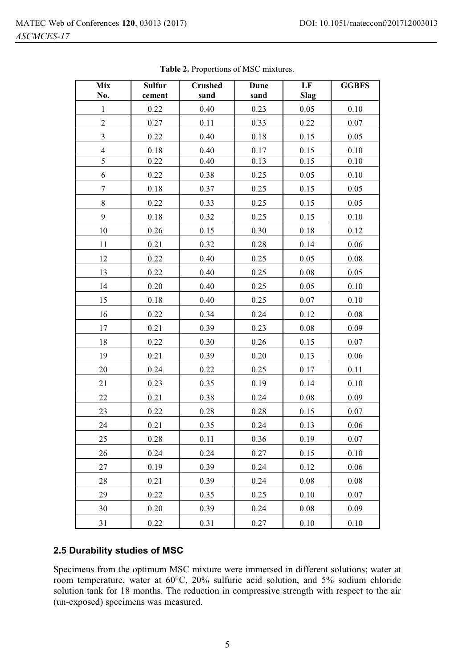| Mix                     | <b>Sulfur</b> | <b>Crushed</b> | Dune | $\mathbf{L}\mathbf{F}$ | <b>GGBFS</b> |
|-------------------------|---------------|----------------|------|------------------------|--------------|
| No.                     | cement        | sand           | sand | Slag                   |              |
| $\mathbf{1}$            | 0.22          | 0.40           | 0.23 | 0.05                   | 0.10         |
| $\overline{2}$          | 0.27          | 0.11           | 0.33 | 0.22                   | 0.07         |
| 3                       | 0.22          | 0.40           | 0.18 | 0.15                   | 0.05         |
| $\overline{\mathbf{4}}$ | 0.18          | 0.40           | 0.17 | 0.15                   | 0.10         |
| $\overline{5}$          | 0.22          | 0.40           | 0.13 | 0.15                   | 0.10         |
| 6                       | 0.22          | 0.38           | 0.25 | 0.05                   | 0.10         |
| $\overline{7}$          | 0.18          | 0.37           | 0.25 | 0.15                   | 0.05         |
| 8                       | 0.22          | 0.33           | 0.25 | 0.15                   | 0.05         |
| 9                       | 0.18          | 0.32           | 0.25 | 0.15                   | 0.10         |
| 10                      | 0.26          | 0.15           | 0.30 | 0.18                   | 0.12         |
| 11                      | 0.21          | 0.32           | 0.28 | 0.14                   | 0.06         |
| 12                      | 0.22          | 0.40           | 0.25 | 0.05                   | 0.08         |
| 13                      | 0.22          | 0.40           | 0.25 | $\rm 0.08$             | 0.05         |
| 14                      | 0.20          | 0.40           | 0.25 | 0.05                   | 0.10         |
| 15                      | 0.18          | 0.40           | 0.25 | 0.07                   | 0.10         |
| 16                      | 0.22          | 0.34           | 0.24 | 0.12                   | 0.08         |
| $17$                    | 0.21          | 0.39           | 0.23 | $0.08\,$               | 0.09         |
| 18                      | 0.22          | 0.30           | 0.26 | 0.15                   | 0.07         |
| 19                      | 0.21          | 0.39           | 0.20 | 0.13                   | $0.06\,$     |
| 20                      | 0.24          | 0.22           | 0.25 | 0.17                   | 0.11         |
| 21                      | 0.23          | 0.35           | 0.19 | 0.14                   | 0.10         |
| 22                      | 0.21          | 0.38           | 0.24 | $0.08\,$               | 0.09         |
| 23                      | 0.22          | 0.28           | 0.28 | 0.15                   | 0.07         |
| 24                      | 0.21          | 0.35           | 0.24 | 0.13                   | 0.06         |
| 25                      | 0.28          | 0.11           | 0.36 | 0.19                   | 0.07         |
| 26                      | 0.24          | 0.24           | 0.27 | 0.15                   | 0.10         |
| 27                      | 0.19          | 0.39           | 0.24 | 0.12                   | 0.06         |
| 28                      | 0.21          | 0.39           | 0.24 | 0.08                   | 0.08         |
| 29                      | 0.22          | 0.35           | 0.25 | 0.10                   | 0.07         |
| 30                      | 0.20          | 0.39           | 0.24 | $0.08\,$               | 0.09         |
| 31                      | 0.22          | 0.31           | 0.27 | 0.10                   | 0.10         |

**Table 2.** Proportions of MSC mixtures.

### **2.5 Durability studies of MSC**

Specimens from the optimum MSC mixture were immersed in different solutions; water at room temperature, water at 60°C, 20% sulfuric acid solution, and 5% sodium chloride solution tank for 18 months. The reduction in compressive strength with respect to the air (un-exposed) specimens was measured.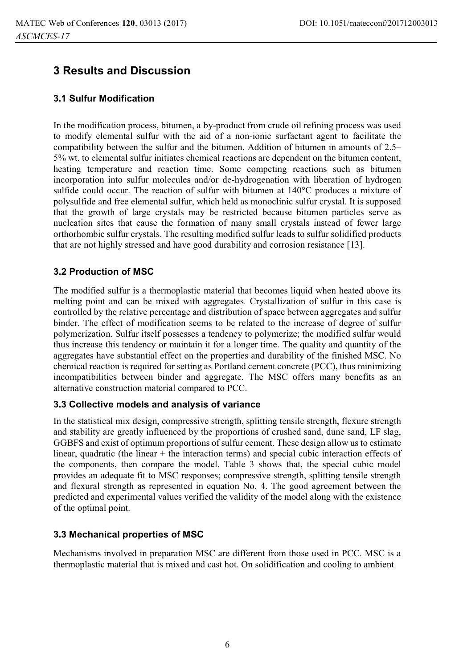# **3 Results and Discussion**

### **3.1 Sulfur Modification**

In the modification process, bitumen, a by-product from crude oil refining process was used to modify elemental sulfur with the aid of a non-ionic surfactant agent to facilitate the compatibility between the sulfur and the bitumen. Addition of bitumen in amounts of 2.5– 5% wt. to elemental sulfur initiates chemical reactions are dependent on the bitumen content, heating temperature and reaction time. Some competing reactions such as bitumen incorporation into sulfur molecules and/or de-hydrogenation with liberation of hydrogen sulfide could occur. The reaction of sulfur with bitumen at 140°C produces a mixture of polysulfide and free elemental sulfur, which held as monoclinic sulfur crystal. It is supposed that the growth of large crystals may be restricted because bitumen particles serve as nucleation sites that cause the formation of many small crystals instead of fewer large orthorhombic sulfur crystals. The resulting modified sulfur leads to sulfur solidified products that are not highly stressed and have good durability and corrosion resistance [13].

#### **3.2 Production of MSC**

The modified sulfur is a thermoplastic material that becomes liquid when heated above its melting point and can be mixed with aggregates. Crystallization of sulfur in this case is controlled by the relative percentage and distribution of space between aggregates and sulfur binder. The effect of modification seems to be related to the increase of degree of sulfur polymerization. Sulfur itself possesses a tendency to polymerize; the modified sulfur would thus increase this tendency or maintain it for a longer time. The quality and quantity of the aggregates have substantial effect on the properties and durability of the finished MSC. No chemical reaction is required for setting as Portland cement concrete (PCC), thus minimizing incompatibilities between binder and aggregate. The MSC offers many benefits as an alternative construction material compared to PCC.

#### **3.3 Collective models and analysis of variance**

In the statistical mix design, compressive strength, splitting tensile strength, flexure strength and stability are greatly influenced by the proportions of crushed sand, dune sand, LF slag, GGBFS and exist of optimum proportions of sulfur cement. These design allow us to estimate linear, quadratic (the linear + the interaction terms) and special cubic interaction effects of the components, then compare the model. Table 3 shows that, the special cubic model provides an adequate fit to MSC responses; compressive strength, splitting tensile strength and flexural strength as represented in equation No. 4. The good agreement between the predicted and experimental values verified the validity of the model along with the existence of the optimal point.

#### **3.3 Mechanical properties of MSC**

Mechanisms involved in preparation MSC are different from those used in PCC. MSC is a thermoplastic material that is mixed and cast hot. On solidification and cooling to ambient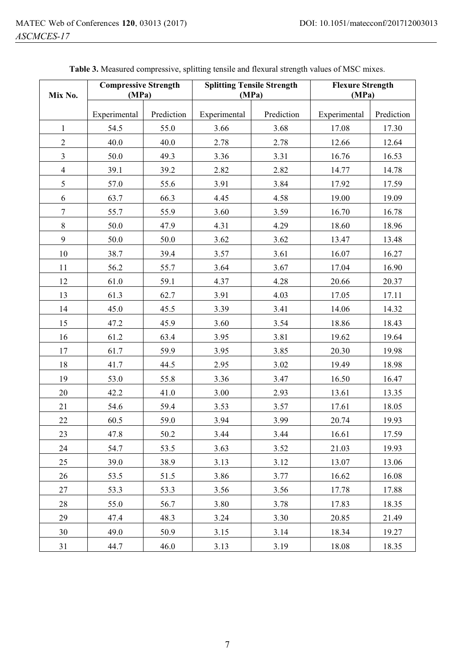| Mix No.                 | <b>Compressive Strength</b><br>(MPa) |            | <b>Splitting Tensile Strength</b><br>(MPa) |            | <b>Flexure Strength</b><br>(MPa) |            |
|-------------------------|--------------------------------------|------------|--------------------------------------------|------------|----------------------------------|------------|
|                         |                                      |            |                                            |            |                                  |            |
|                         | Experimental                         | Prediction | Experimental                               | Prediction | Experimental                     | Prediction |
| $\mathbf{1}$            | 54.5                                 | 55.0       | 3.66                                       | 3.68       | 17.08                            | 17.30      |
| $\sqrt{2}$              | 40.0                                 | 40.0       | 2.78                                       | 2.78       | 12.66                            | 12.64      |
| $\overline{3}$          | 50.0                                 | 49.3       | 3.36                                       | 3.31       | 16.76                            | 16.53      |
| $\overline{\mathbf{4}}$ | 39.1                                 | 39.2       | 2.82                                       | 2.82       | 14.77                            | 14.78      |
| 5                       | 57.0                                 | 55.6       | 3.91                                       | 3.84       | 17.92                            | 17.59      |
| 6                       | 63.7                                 | 66.3       | 4.45                                       | 4.58       | 19.00                            | 19.09      |
| 7                       | 55.7                                 | 55.9       | 3.60                                       | 3.59       | 16.70                            | 16.78      |
| 8                       | 50.0                                 | 47.9       | 4.31                                       | 4.29       | 18.60                            | 18.96      |
| 9                       | $50.0\,$                             | 50.0       | 3.62                                       | 3.62       | 13.47                            | 13.48      |
| 10                      | 38.7                                 | 39.4       | 3.57                                       | 3.61       | 16.07                            | 16.27      |
| 11                      | 56.2                                 | 55.7       | 3.64                                       | 3.67       | 17.04                            | 16.90      |
| 12                      | 61.0                                 | 59.1       | 4.37                                       | 4.28       | 20.66                            | 20.37      |
| 13                      | 61.3                                 | 62.7       | 3.91                                       | 4.03       | 17.05                            | 17.11      |
| 14                      | 45.0                                 | 45.5       | 3.39                                       | 3.41       | 14.06                            | 14.32      |
| 15                      | 47.2                                 | 45.9       | 3.60                                       | 3.54       | 18.86                            | 18.43      |
| 16                      | 61.2                                 | 63.4       | 3.95                                       | 3.81       | 19.62                            | 19.64      |
| 17                      | 61.7                                 | 59.9       | 3.95                                       | 3.85       | 20.30                            | 19.98      |
| 18                      | 41.7                                 | 44.5       | 2.95                                       | 3.02       | 19.49                            | 18.98      |
| 19                      | 53.0                                 | 55.8       | 3.36                                       | 3.47       | 16.50                            | 16.47      |
| 20                      | 42.2                                 | 41.0       | 3.00                                       | 2.93       | 13.61                            | 13.35      |
| 21                      | 54.6                                 | 59.4       | 3.53                                       | 3.57       | 17.61                            | 18.05      |
| 22                      | 60.5                                 | 59.0       | 3.94                                       | 3.99       | 20.74                            | 19.93      |
| 23                      | 47.8                                 | 50.2       | 3.44                                       | 3.44       | 16.61                            | 17.59      |
| 24                      | 54.7                                 | 53.5       | 3.63                                       | 3.52       | 21.03                            | 19.93      |
| 25                      | 39.0                                 | 38.9       | 3.13                                       | 3.12       | 13.07                            | 13.06      |
| 26                      | 53.5                                 | 51.5       | 3.86                                       | 3.77       | 16.62                            | 16.08      |
| 27                      | 53.3                                 | 53.3       | 3.56                                       | 3.56       | 17.78                            | 17.88      |
| $28\,$                  | 55.0                                 | 56.7       | 3.80                                       | 3.78       | 17.83                            | 18.35      |
| 29                      | 47.4                                 | 48.3       | 3.24                                       | 3.30       | 20.85                            | 21.49      |
| 30                      | 49.0                                 | 50.9       | 3.15                                       | 3.14       | 18.34                            | 19.27      |
| 31                      | 44.7                                 | 46.0       | 3.13                                       | 3.19       | 18.08                            | 18.35      |

**Table 3.** Measured compressive, splitting tensile and flexural strength values of MSC mixes.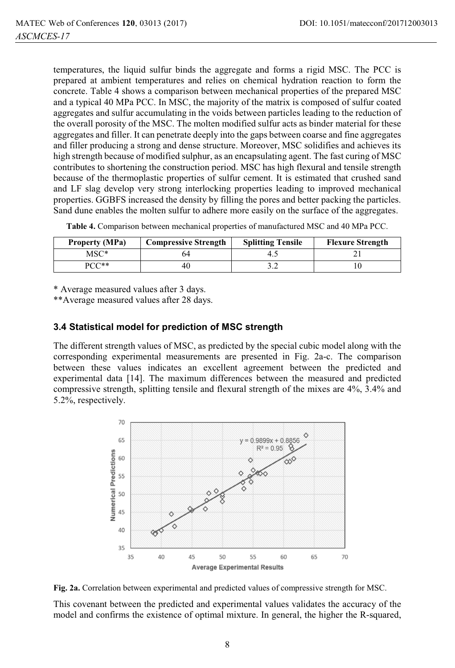temperatures, the liquid sulfur binds the aggregate and forms a rigid MSC. The PCC is prepared at ambient temperatures and relies on chemical hydration reaction to form the concrete. Table 4 shows a comparison between mechanical properties of the prepared MSC and a typical 40 MPa PCC. In MSC, the majority of the matrix is composed of sulfur coated aggregates and sulfur accumulating in the voids between particles leading to the reduction of the overall porosity of the MSC. The molten modified sulfur acts as binder material for these aggregates and filler. It can penetrate deeply into the gaps between coarse and fine aggregates and filler producing a strong and dense structure. Moreover, MSC solidifies and achieves its high strength because of modified sulphur, as an encapsulating agent. The fast curing of MSC contributes to shortening the construction period. MSC has high flexural and tensile strength because of the thermoplastic properties of sulfur cement. It is estimated that crushed sand and LF slag develop very strong interlocking properties leading to improved mechanical properties. GGBFS increased the density by filling the pores and better packing the particles. Sand dune enables the molten sulfur to adhere more easily on the surface of the aggregates.

**Table 4.** Comparison between mechanical properties of manufactured MSC and 40 MPa PCC.

| <b>Property (MPa)</b> | <b>Compressive Strength</b> | <b>Splitting Tensile</b> | <b>Flexure Strength</b> |
|-----------------------|-----------------------------|--------------------------|-------------------------|
| MSC*                  | 64                          | 4.1                      |                         |
| PCC**                 | 40                          |                          |                         |

\* Average measured values after 3 days.

\*\*Average measured values after 28 days.

#### **3.4 Statistical model for prediction of MSC strength**

The different strength values of MSC, as predicted by the special cubic model along with the corresponding experimental measurements are presented in Fig. 2a-c. The comparison between these values indicates an excellent agreement between the predicted and experimental data [14]. The maximum differences between the measured and predicted compressive strength, splitting tensile and flexural strength of the mixes are 4%, 3.4% and 5.2%, respectively.



**Fig. 2a.** Correlation between experimental and predicted values of compressive strength for MSC.

This covenant between the predicted and experimental values validates the accuracy of the model and confirms the existence of optimal mixture. In general, the higher the R-squared,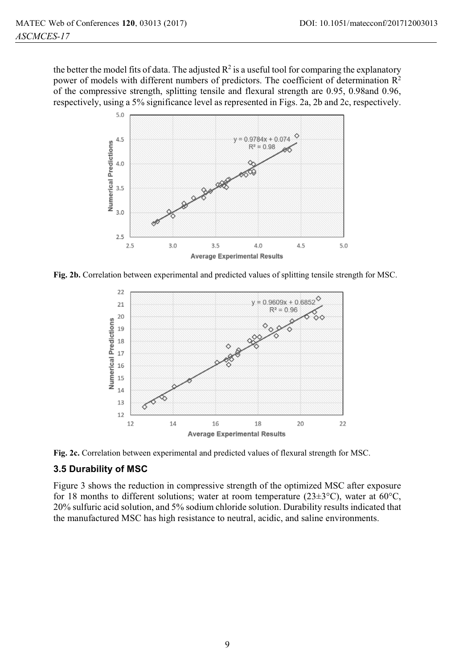the better the model fits of data. The adjusted  $\mathbb{R}^2$  is a useful tool for comparing the explanatory power of models with different numbers of predictors. The coefficient of determination  $\mathbb{R}^2$ of the compressive strength, splitting tensile and flexural strength are 0.95, 0.98and 0.96, respectively, using a 5% significance level as represented in Figs. 2a, 2b and 2c, respectively.



**Fig. 2b.** Correlation between experimental and predicted values of splitting tensile strength for MSC.





#### **3.5 Durability of MSC**

Figure 3 shows the reduction in compressive strength of the optimized MSC after exposure for 18 months to different solutions; water at room temperature ( $23\pm3^{\circ}$ C), water at 60 $^{\circ}$ C, 20% sulfuric acid solution, and 5% sodium chloride solution. Durability results indicated that the manufactured MSC has high resistance to neutral, acidic, and saline environments.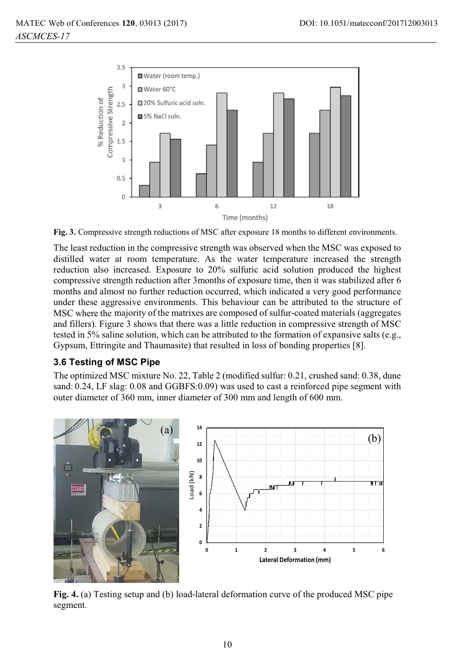

**Fig. 3.** Compressive strength reductions of MSC after exposure 18 months to different environments.

The least reduction in the compressive strength was observed when the MSC was exposed to distilled water at room temperature. As the water temperature increased the strength reduction also increased. Exposure to 20% sulfuric acid solution produced the highest compressive strength reduction after 3months of exposure time, then it was stabilized after 6 months and almost no further reduction occurred, which indicated a very good performance under these aggressive environments. This behaviour can be attributed to the structure of MSC where the majority of the matrixes are composed of sulfur-coated materials (aggregates and fillers). Figure 3 shows that there was a little reduction in compressive strength of MSC tested in 5% saline solution, which can be attributed to the formation of expansive salts (e.g., Gypsum, Ettringite and Thaumasite) that resulted in loss of bonding properties [8].

#### **3.6 Testing of MSC Pipe**

The optimized MSC mixture No. 22, Table 2 (modified sulfur: 0.21, crushed sand: 0.38, dune sand: 0.24, LF slag: 0.08 and GGBFS:0.09) was used to cast a reinforced pipe segment with outer diameter of 360 mm, inner diameter of 300 mm and length of 600 mm.



**Fig. 4.** (a) Testing setup and (b) load-lateral deformation curve of the produced MSC pipe segment.